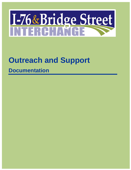# I-76&Bridge Street

## **Outreach and Support**

## **Documentation**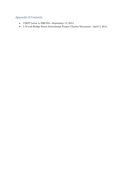### Appendix H Contents

- CDOT Letter to DRCOG—September 13, 2013
- I-76 and Bridge Street Interchange Project Charter Document—April 3, 2013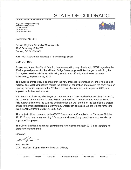## **STATE OF COLORADO**

#### **DEPARTMENT OF TRANSPORTATION**

Region 1 - Program Delivery 2000 South Holly Street Denver, CO 80222 (303) 757-9388 (303) 757-9988 FAX



September 13, 2013

**Denver Regional Council of Governments** 1290 Broadway, Suite 700 Denver, CO 80203-5606

RE: 1601 Interchange Request, I-76 and Bridge Street

Dear Mr. Rigor,

As you may know, the City of Brighton has been working very closely with CDOT regarding the 1601 approval process for the I-76 and Bridge Street proposed interchange. In addition, the final system level feasibility report is being sent to your office by the close of business Wednesday, September 18, 2013.

The purpose of this study is to prove that the new proposed interchange will improve local and regional east-west connectivity, reduce the amount of congestion and delay in the study area on opening day which is planned for 2019 and through the planning horizon year of 2035, and improve traffic flow and access.

We do not anticipate any challenges or controversy and have received support from the public. the City of Brighton, Adams County, FHWA, and the CDOT Commissioner, Heather Barry, I fully support this project, its purpose and all parties are well briefed on the benefits this project brings to the transportation plan. Barring any unforeseen obstacles, we are looking forward to this amendment into the DRCOG 2035 plan.

This project will be presented to the CDOT Transportation Commission on Thursday, October 17, 2013, and I am recommending it for approval along with my constituents who are also in support of this project.

The City of Brighton has already committed to funding this project in 2019, and therefore no State funds are planned.

Sincerely,

Paul Jesaitis CDOT Region 1 Deputy Director Program Delivery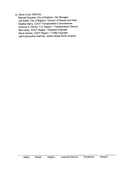cc: Steve Cook, DRCOG

Manual Esquibel, City of Brighton, City Manager Joe Smith, City of Brighton, Director of Streets and Fleet Heather Barry, CDOT Transportation Commissioner Anthony R. DeVito, P.E, Region 1 Transportation Director Neil Lacey, CDOT Region 1 Resident Engineer Steve Hersey, CDOT Region 1 Traffic Engineer Jeff Kullman/Ken DePinto, Atkins Global North America

Ť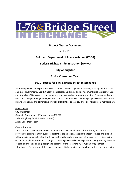

#### **Project Charter Document**

April 3, 2013

#### **Colorado Department of Transportation (CDOT)**

#### **Federal Highway Administration (FHWA)**

**City of Brighton**

#### **Atkins Consultant Team**

#### **1601 Process for I-76 & Bridge Street Interchange**

Addressing difficult transportation issues is one of the most significant challenges facing federal, state, and local governments. Conflict about transportation planning and development raise a variety of issues about quality of life, economic development, land use, and environmental justice. Government leaders need tools and governing models, such as charters, that can assist in finding ways to successfully address many perspectives and solve transportation problems as one voice. The key Project Team members are:

#### **Project Team**

City of Brighton Colorado Department of Transportation (CDOT) Federal Highway Administration (FHWA) Atkins Consultant Team

#### **Charter Purpose**

The Charter is a clear description of the team's purpose and identifies the authority and resources provided to accomplish that purpose. It clarifies expectations, keeping the team focused and aligned with project-related priorities. Participation from the various transportation agencies is critical to the successful implementation of this project. These agencies will work together to clearly identify the roles of each during the planning, design and approval of the Interstate 76 (I-76) and Bridge Street Interchange. The purpose of this charter document is to provide the structure for the partner agencies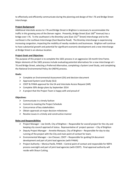to effectively and efficiently communicate during the planning and design of the I-76 and Bridge Street Interchange.

#### **Project Background**

Additional interstate access to I-76 and Bridge Street in Brighton is necessary to accommodate the traffic in this growing area of the Denver region. Presently, Bridge Street (East 160<sup>th</sup> Avenue) has a bridge over I-76. To the southwest is the Bromley Lane (East 152<sup>nd</sup> Street) Interchange and to the northeast is the Lochbuie Interchange (East Baseline Road). The Bromley interchange is experiencing increasing congestion, impacting the mobility of nearby residents and businesses. Brighton will continue to have substantial growth and potential for significant economic development and a new interchange at Bridge Street is an obvious location.

#### **Project Goals and Objectives**

The purpose of this project is to complete the 1601 process in an aggressive 18-month time frame. Major elements of the 1601 process include evaluating potential alternatives for a new interchange at I-76 and Bridge Street, selecting a Preferred Alternative, completing a System Level Study, and completing the National Environmental Policy Act (NEPA) process.

#### **Goals:**

- $\triangleright$  Complete an Environmental Assessment (EA) and decision document
- $\triangleright$  Approved System Level Study (SLS)
- $\triangleright$  CDOT & FHWA approval for the EA and Interstate Access Request (IAR)
- $\triangleright$  Complete 30% design plans by September 2014
- $\triangleright$  A project that the Project Team is happy with and proud of

#### **Objectives:**

- $\triangleright$  Communicate in a timely fashion
- $\triangleright$  Commit to meeting the Project Schedule
- $\triangleright$  Concurrence of key stakeholders
- $\triangleright$  Obtain approvals at major decision milestones
- $\triangleright$  Resolve issues in a timely and constructive manner

#### **Roles and Responsibilities**

- $\triangleright$  Project Manager Joe Smith, City of Brighton Responsible for overall project for the city and keeping city council apprised of status. Representative of project sponsor – City of Brighton
- Deputy Project Manager Annette Marquez, City of Brighton Responsible for day-to-day running of the project with the City and main point of contact for team.
- $\triangleright$  Environmental Manager Jon Chesser, CDOT Responsible for guiding EA document development and part of joint lead agencies (with FHWA)
- Project Authority Monica Pavlik, FHWA Central point of contact and responsible for NEPA process oversight and part of joint lead agencies (with CDOT). Final approval authority will reside with Shaun Cutting.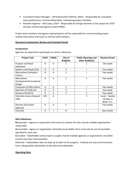- $\triangleright$  Consultant Project Manager Jeff Kullman/Ken DePinto, Atkins Responsible for consultant team performance, contract deliverables, maintaining project schedule.
- $\triangleright$  Resident Engineer Neil Lacey, CDOT Responsible for Design elements in the project for CDOT and part of joint lead agencies (with FHWA).

Project team members and agency representatives will be responsible for communicating project related information and issues to internal staff members.

#### **Document Involvement, Review and Comment Period**

#### **Involvement**

Agencies are expected to participate at various milestones

| <b>Project Task</b>               | <b>CDOT</b>  | <b>FHWA</b> | City of<br><b>Brighton</b> | <b>Public (Hearings and</b><br>other feedback) | <b>Review Period</b> |
|-----------------------------------|--------------|-------------|----------------------------|------------------------------------------------|----------------------|
| Purpose and Need                  | R            | A           |                            |                                                | One week             |
| Statement                         |              |             |                            |                                                |                      |
| System Level Study (SLS)          | R            | A           | C                          |                                                | Two weeks            |
| <b>Alternatives Evaluation</b>    | R            | A           | C                          |                                                | Two weeks            |
| Criteria                          |              |             |                            |                                                |                      |
| Alternatives                      | $\mathsf{R}$ | A           | C                          | C                                              | Two weeks            |
| Development/Conceptual            |              |             |                            |                                                |                      |
| Design                            |              |             |                            |                                                |                      |
| <b>Evaluation of Alternatives</b> | R.           | A           | C                          |                                                | Two weeks            |
| Selection of Preferred            | R            | A           | C                          |                                                | One week             |
| <b>Review of Draft EA</b>         | R            | A           | C                          | C                                              | Two weeks            |
| Interstate Access Request         | R/A          | Α           |                            | C                                              | -Local - 2weeks      |
| (IAR)                             |              |             |                            |                                                | -30 days in          |
|                                   |              |             |                            |                                                | Wash. D.C.           |
| <b>Decision Document</b>          | R            | A           | C                          |                                                | Two weeks            |
| Approval                          |              |             |                            |                                                |                      |
| <b>Final IGA</b>                  | R            |             | R                          |                                                | One month            |

#### **RACI Definitions**:

**R**esponsible – Agency or organization that works to achieve the task; may be multiple organizations responsible.

**A**ccountable – Agency or organization ultimately accountable; there must only be one Accountable specified for each task.

**C**onsulted – Stakeholders whose input is sought; may be multiple agencies or organizations consulted. Involves two-way communication.

**I**nformed – Stakeholders who are kept up-to-date on the progress. Involved one-way communication from a Responsible stakeholder to the **I**nformed stakeholder.

#### **Operating Rules**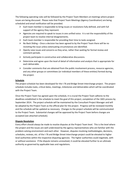The following operating rules will be followed by the Project Team Members at meetings where project issues are being discussed. Please note that Project Team Meetings (Agency Coordination) are being scheduled and email notification will be provided.

- $\triangleright$  Each team member is responsible to bring issues or resolutions fully defined, and with full support of the agency they represent.
- $\triangleright$  Agencies are required to speak to issues in one unified voice. It is not the responsibility of the project team to resolve internal disagreements.
- $\triangleright$  Each team member is responsible for providing their time to tasks assigned.
- $\triangleright$  No Back Sliding Once a decision has been agreed to by the Project Team there will be no revisiting the issue unless extenuating circumstances are identified.
- $\triangleright$  Openly raise issues and concerns as they arise, rather than waiting for formal review and comment periods.
- $\triangleright$  Actively participate in constructive and collaborative discussions.
- $\triangleright$  Determine and agree upon the level of detail of information and analysis that is appropriate for each deliverable.
- $\triangleright$  Consider comments that are obtained from the public involvement process, resource agencies, and any other groups or committees (or individual members of these entities) formed during the project.

#### **Schedule**

The project schedule has been developed for the I-76 and Bridge Street Interchange project. The project schedule includes tasks, critical dates, meetings, milestones and deliverables which will be coordinated with the Project Team.

Once the Project Team has agreed upon the schedule, it is crucial the Project Team adheres to the deadlines established in the schedule to meet the goal of this project, completion of the 1601 process by September 2014. The project schedule will be maintained by the Consultant Project Manager and will be adopted by the Project Team as the official plan for the project. Progress will be reviewed monthly and the schedule will be updated as necessary. Changes to the project schedule will be communicated to the Project Team. Substantial changes will be approved by the Project Team before changes are accepted (see attached schedule).

#### **Dispute Resolution**

Every effort should always be made to resolve disputes at the Project Team level. This is the level where the project and the issues are well understood by the agency representatives who are familiar with the problem-solving environment and each other. However, disputes involving methodologies, decisions, schedules, reviews, etc. of the I-76 and Bridge Street Interchange project could be elevated to higher level authorities within the respective disputing agencies. The higher authorities could negotiate, with or without assistance. If the dispute remains unresolved, it could be elevated further to an ultimate authority as governed by applicable laws and regulations.